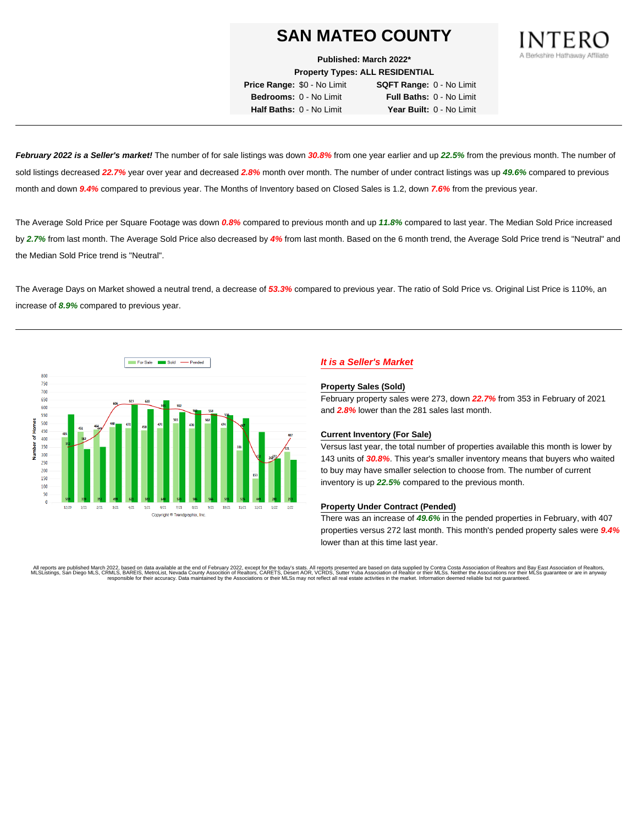**Published: March 2022\***

**Property Types: ALL RESIDENTIAL**

**Price Range:** \$0 - No Limit **SQFT Range:** 0 - No Limit **Bedrooms:** 0 - No Limit **Full Baths:** 0 - No Limit **Half Baths:** 0 - No Limit **Year Built:** 0 - No Limit

**February 2022 is a Seller's market!** The number of for sale listings was down **30.8%** from one year earlier and up **22.5%** from the previous month. The number of sold listings decreased **22.7%** year over year and decreased **2.8%** month over month. The number of under contract listings was up **49.6%** compared to previous month and down **9.4%** compared to previous year. The Months of Inventory based on Closed Sales is 1.2, down **7.6%** from the previous year.

The Average Sold Price per Square Footage was down **0.8%** compared to previous month and up **11.8%** compared to last year. The Median Sold Price increased by **2.7%** from last month. The Average Sold Price also decreased by **4%** from last month. Based on the 6 month trend, the Average Sold Price trend is "Neutral" and the Median Sold Price trend is "Neutral".

The Average Days on Market showed a neutral trend, a decrease of **53.3%** compared to previous year. The ratio of Sold Price vs. Original List Price is 110%, an increase of **8.9%** compared to previous year.



# **It is a Seller's Market**

#### **Property Sales (Sold)**

February property sales were 273, down **22.7%** from 353 in February of 2021 and **2.8%** lower than the 281 sales last month.

### **Current Inventory (For Sale)**

Versus last year, the total number of properties available this month is lower by 143 units of **30.8%**. This year's smaller inventory means that buyers who waited to buy may have smaller selection to choose from. The number of current inventory is up **22.5%** compared to the previous month.

#### **Property Under Contract (Pended)**

There was an increase of **49.6%** in the pended properties in February, with 407 properties versus 272 last month. This month's pended property sales were **9.4%** lower than at this time last year.

All reports are published March 2022, based on data available at the end of February 2022, except for the today's stats. All reports presented are based on data supplied by Contra Costa Association of Realtors and Bay East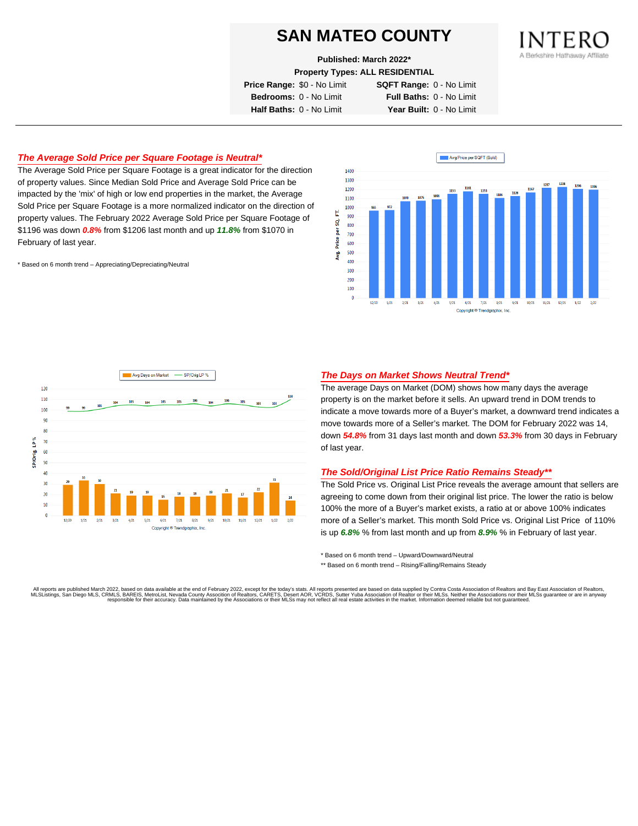**Published: March 2022\***

**Property Types: ALL RESIDENTIAL**

**Price Range:** \$0 - No Limit **SQFT Range:** 0 - No Limit

**Bedrooms:** 0 - No Limit **Full Baths:** 0 - No Limit **Half Baths:** 0 - No Limit **Year Built:** 0 - No Limit

## **The Average Sold Price per Square Footage is Neutral\***

The Average Sold Price per Square Footage is a great indicator for the direction of property values. Since Median Sold Price and Average Sold Price can be impacted by the 'mix' of high or low end properties in the market, the Average Sold Price per Square Footage is a more normalized indicator on the direction of property values. The February 2022 Average Sold Price per Square Footage of \$1196 was down **0.8%** from \$1206 last month and up **11.8%** from \$1070 in February of last year.

\* Based on 6 month trend – Appreciating/Depreciating/Neutral





## **The Days on Market Shows Neutral Trend\***

The average Days on Market (DOM) shows how many days the average property is on the market before it sells. An upward trend in DOM trends to indicate a move towards more of a Buyer's market, a downward trend indicates a move towards more of a Seller's market. The DOM for February 2022 was 14, down **54.8%** from 31 days last month and down **53.3%** from 30 days in February of last year.

#### **The Sold/Original List Price Ratio Remains Steady\*\***

The Sold Price vs. Original List Price reveals the average amount that sellers are agreeing to come down from their original list price. The lower the ratio is below 100% the more of a Buyer's market exists, a ratio at or above 100% indicates more of a Seller's market. This month Sold Price vs. Original List Price of 110% is up **6.8%** % from last month and up from **8.9%** % in February of last year.

\* Based on 6 month trend – Upward/Downward/Neutral

\*\* Based on 6 month trend - Rising/Falling/Remains Steady

All reports are published March 2022, based on data available at the end of February 2022, except for the today's stats. All reports presented are based on data supplied by Contra Costa Association of Realtors and Bay East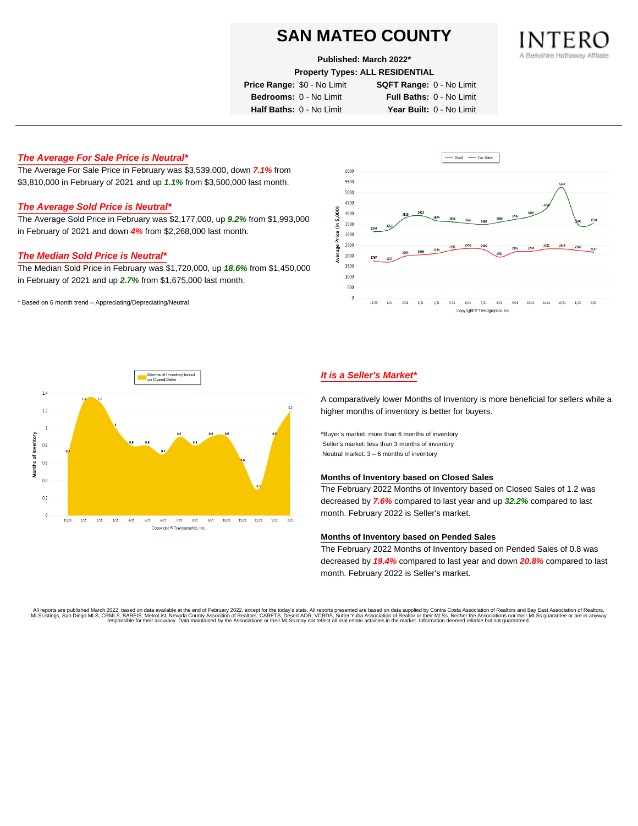#### **Published: March 2022\***

**Property Types: ALL RESIDENTIAL**

**Price Range:** \$0 - No Limit **SQFT Range:** 0 - No Limit

**Bedrooms:** 0 - No Limit **Full Baths:** 0 - No Limit

**Half Baths:** 0 - No Limit **Year Built:** 0 - No Limit

### **The Average For Sale Price is Neutral\***

The Average For Sale Price in February was \$3,539,000, down **7.1%** from \$3,810,000 in February of 2021 and up **1.1%** from \$3,500,000 last month.

# **The Average Sold Price is Neutral\***

The Average Sold Price in February was \$2,177,000, up **9.2%** from \$1,993,000 in February of 2021 and down **4%** from \$2,268,000 last month.

#### **The Median Sold Price is Neutral\***

The Median Sold Price in February was \$1,720,000, up **18.6%** from \$1,450,000 in February of 2021 and up **2.7%** from \$1,675,000 last month.

\* Based on 6 month trend – Appreciating/Depreciating/Neutral





## **It is a Seller's Market\***

A comparatively lower Months of Inventory is more beneficial for sellers while a higher months of inventory is better for buyers.

\*Buyer's market: more than 6 months of inventory Seller's market: less than 3 months of inventory Neutral market: 3 – 6 months of inventory

#### **Months of Inventory based on Closed Sales**

The February 2022 Months of Inventory based on Closed Sales of 1.2 was decreased by **7.6%** compared to last year and up **32.2%** compared to last month. February 2022 is Seller's market.

#### **Months of Inventory based on Pended Sales**

The February 2022 Months of Inventory based on Pended Sales of 0.8 was decreased by **19.4%** compared to last year and down **20.8%** compared to last month. February 2022 is Seller's market.

. All reports are published March 2022, based on data available at the end of February 2022, except for the today's stats. All reports presented are based on data supplied by Contra Costa Association of Realtors, San Bread responsible for their accuracy. Data maintained by the Associations or their MLSs may not reflect all real estate activities in the market. Information deemed reliable but not guaranteed.